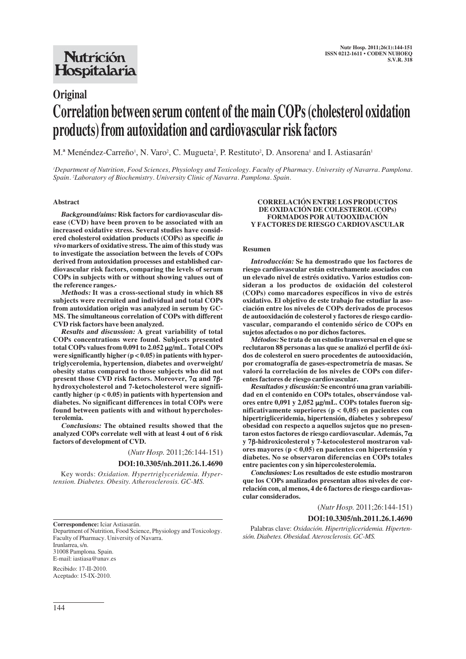# **Nutrición** Hospitalaria

# **Original Correlation between serum content of the main COPs (cholesterol oxidation products) from autoxidation and cardiovascular risk factors**

M.<sup>a</sup> Menéndez-Carreño<sup>1</sup>, N. Varo<sup>2</sup>, C. Mugueta<sup>2</sup>, P. Restituto<sup>2</sup>, D. Ansorena<sup>1</sup> and I. Astiasarán<sup>1</sup>

*1 Department of Nutrition, Food Sciences, Physiology and Toxicology. Faculty of Pharmacy. University of Navarra. Pamplona. Spain. 2 Laboratory of Biochemistry. University Clinic of Navarra. Pamplona. Spain.*

# **Abstract**

**Background/aims: Risk factors for cardiovascular disease (CVD) have been proven to be associated with an increased oxidative stress. Several studies have considered cholesterol oxidation products (COPs) as specific in vivo markers of oxidative stress. The aim of this study was to investigate the association between the levels of COPs derived from autoxidation processes and established cardiovascular risk factors, comparing the levels of serum COPs in subjects with or without showing values out of the reference ranges.** 

**Methods: It was a cross-sectional study in which 88 subjects were recruited and individual and total COPs from autoxidation origin was analyzed in serum by GC-MS. The simultaneous correlation of COPs with different CVD risk factors have been analyzed.**

**Results and discussion: A great variability of total COPs concentrations were found. Subjects presented total COPs values from 0.091 to 2.052** μ**g/mL. Total COPs were significantly higher (p < 0.05) in patients with hypertriglycerolemia, hypertension, diabetes and overweight/ obesity status compared to those subjects who did not present those CVD risk factors. Moreover, 7**α **and 7**β**hydroxycholesterol and 7-ketocholesterol were significantly higher (p < 0.05) in patients with hypertension and diabetes. No significant differences in total COPs were found between patients with and without hypercholesterolemia.**

**Conclusions: The obtained results showed that the analyzed COPs correlate well with at least 4 out of 6 risk factors of development of CVD.**

(*Nutr Hosp.* 2011;26:144-151)

#### **DOI:10.3305/nh.2011.26.1.4690**

Key words: *Oxidation. Hypertriglyceridemia. Hypertension. Diabetes. Obesity. Atherosclerosis. GC-MS.*

#### **CORRELACIÓN ENTRE LOS PRODUCTOS DE OXIDACIÓN DE COLESTEROL (COPs) FORMADOS POR AUTOOXIDACIÓN Y FACTORES DE RIESGO CARDIOVASCULAR**

#### **Resumen**

**Introducción: Se ha demostrado que los factores de riesgo cardiovascular están estrechamente asociados con un elevado nivel de estrés oxidativo. Varios estudios consideran a los productos de oxidación del colesterol (COPs) como marcadores específicos in vivo de estrés oxidativo. El objetivo de este trabajo fue estudiar la asociación entre los niveles de COPs derivados de procesos de autooxidación de colesterol y factores de riesgo cardiovascular, comparando el contenido sérico de COPs en sujetos afectados o no por dichos factores.**

**Métodos: Se trata de un estudio transversal en el que se reclutaron 88 personas a las que se analizó el perfil de óxidos de colesterol en suero procedentes de autooxidación, por cromatografía de gases-espectrometría de masas. Se valoró la correlación de los niveles de COPs con diferentes factores de riesgo cardiovascular.** 

**Resultados y discusión: Se encontró una gran variabilidad en el contenido en COPs totales, observándose valores entre 0,091 y 2,052** μ**g/mL. COPs totales fueron significativamente superiores (p < 0,05) en pacientes con hipertrigliceridemia, hipertensión, diabetes y sobrepeso/ obesidad con respecto a aquellos sujetos que no presentaron estos factores de riesgo cardiovascular. Además, 7**α **y 7**β**-hidroxicolesterol y 7-ketocolesterol mostraron valores mayores (p < 0,05) en pacientes con hipertensión y diabetes. No se observaron diferencias en COPs totales entre pacientes con y sin hipercolesterolemia.** 

**Conclusiones: Los resultados de este estudio mostraron que los COPs analizados presentan altos niveles de correlación con, al menos, 4 de 6 factores de riesgo cardiovascular considerados.**

(*Nutr Hosp.* 2011;26:144-151)

# **DOI:10.3305/nh.2011.26.1.4690**

**Correspondence:** Iciar Astiasarán.

Department of Nutrition, Food Science, Physiology and Toxicology. Faculty of Pharmacy. University of Navarra. Irunlarrea, s/n. 31008 Pamplona. Spain. E-mail: iastiasa@unav.es

Recibido: 17-II-2010. Aceptado: 15-IX-2010.

Palabras clave: *Oxidación. Hipertrigliceridemia. Hipertensión. Diabetes. Obesidad. Aterosclerosis. GC-MS.*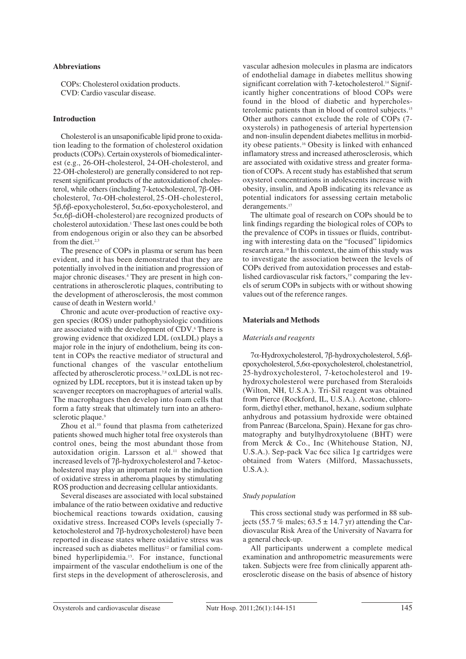# **Abbreviations**

COPs: Cholesterol oxidation products. CVD: Cardio vascular disease.

# **Introduction**

Cholesterol is an unsaponificable lipid prone to oxidation leading to the formation of cholesterol oxidation products (COPs). Certain oxysterols of biomedicalinterest (e.g., 26-OH-cholesterol, 24-OH-cholesterol, and 22-OH-cholesterol) are generallyconsidered to not represent significant products of the autoxidationof cholesterol, while others (including 7-ketocholesterol, 7β-OHcholesterol, 7α-OH-cholesterol, 25-OH-cholesterol, 5β,6β-epoxycholesterol, 5α,6α-epoxycholesterol, and 5α,6β-diOH-cholesterol) are recognized products of cholesterol autoxidation.1 These last ones could be both from endogenous origin or also they can be absorbed from the diet.<sup>2,3</sup>

The presence of COPs in plasma or serum has been evident, and it has been demonstrated that they are potentially involved in the initiation and progression of major chronic diseases.4 They are present in high concentrations in atherosclerotic plaques, contributing to the development of atherosclerosis, the most common cause of death in Western world.<sup>5</sup>

Chronic and acute over-production of reactive oxygen species (ROS) under pathophysiologic conditions are associated with the development of CDV.<sup>6</sup> There is growing evidence that oxidized LDL (oxLDL) plays a major role in the injury of endothelium, being its content in COPs the reactive mediator of structural and functional changes of the vascular entothelium affected by atherosclerotic process.7,8 oxLDL is not recognized by LDL receptors, but it is instead taken up by scavenger receptors on macrophagues of arterial walls. The macrophagues then develop into foam cells that form a fatty streak that ultimately turn into an atherosclerotic plaque.<sup>9</sup>

Zhou et al.<sup>10</sup> found that plasma from catheterized patients showed much higher total free oxysterols than control ones, being the most abundant those from autoxidation origin. Larsson et al.<sup>11</sup> showed that increased levels of 7β-hydroxycholesterol and 7-ketocholesterol may play an important role in the induction of oxidative stress in atheroma plaques by stimulating ROS production and decreasing cellular antioxidants.

Several diseases are associated with local substained imbalance of the ratio between oxidative and reductive biochemical reactions towards oxidation, causing oxidative stress. Increased COPs levels (specially 7 ketocholesterol and 7β-hydroxycholesterol) have been reported in disease states where oxidative stress was increased such as diabetes mellitus<sup>12</sup> or familial combined hyperlipidemia.<sup>13</sup>. For instance, functional impairment of the vascular endothelium is one of the first steps in the development of atherosclerosis, and vascular adhesion molecules in plasma are indicators of endothelial damage in diabetes mellitus showing significant correlation with 7-ketocholesterol.<sup>14</sup> Significantly higher concentrations of blood COPs were found in the blood of diabetic and hypercholesterolemic patients than in blood of control subjects.15 Other authors cannot exclude the role of COPs (7 oxysterols) in pathogenesis of arterial hypertension and non-insulin dependent diabetes mellitus in morbidity obese patients.16 Obesity is linked with enhanced inflamatory stress and increased atherosclerosis, which are associated with oxidative stress and greater formation of COPs. A recent study has established that serum oxysterol concentrations in adolescents increase with obesity, insulin, and ApoB indicating its relevance as potential indicators for assessing certain metabolic derangements.<sup>17</sup>

The ultimate goal of research on COPs should be to link findings regarding the biological roles of COPs to the prevalence of COPs in tissues or fluids, contributing with interesting data on the "focused" lipidomics research area.18 In this context, the aim of this study was to investigate the association between the levels of COPs derived from autoxidation processes and established cardiovascular risk factors,<sup>19</sup> comparing the levels of serum COPs in subjects with or without showing values out of the reference ranges.

#### **Materials and Methods**

## *Materials and reagents*

7α-Hydroxycholesterol, 7β-hydroxycholesterol, 5,6βepoxycholesterol, 5,6α-epoxycholesterol, cholestanetriol, 25-hydroxycholesterol, 7-ketocholesterol and 19 hydroxycholesterol were purchased from Steraloids (Wilton, NH, U.S.A.). Tri-Sil reagent was obtained from Pierce (Rockford, IL, U.S.A.). Acetone, chloroform, diethyl ether, methanol, hexane, sodium sulphate anhydrous and potassium hydroxide were obtained from Panreac (Barcelona, Spain). Hexane for gas chromatography and butylhydroxytoluene (BHT) were from Merck & Co., Inc (Whitehouse Station, NJ, U.S.A.). Sep-pack Vac 6cc silica 1g cartridges were obtained from Waters (Milford, Massachussets, U.S.A.).

#### *Study population*

This cross sectional study was performed in 88 subjects (55.7 % males;  $63.5 \pm 14.7$  yr) attending the Cardiovascular Risk Area of the University of Navarra for a general check-up.

All participants underwent a complete medical examination and anthropometric measurements were taken. Subjects were free from clinically apparent atherosclerotic disease on the basis of absence of history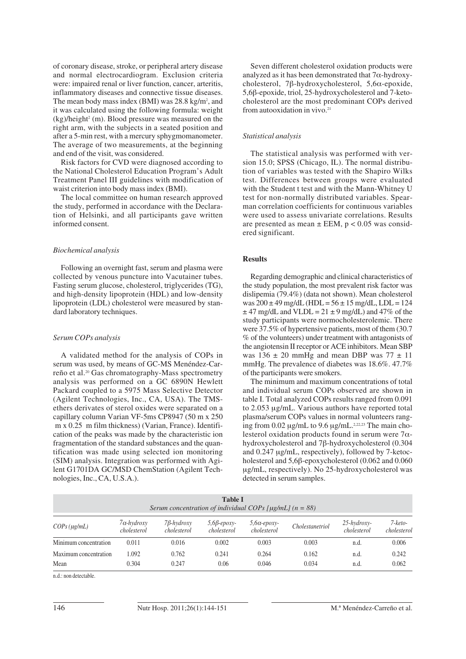of coronary disease, stroke, or peripheral artery disease and normal electrocardiogram. Exclusion criteria were: impaired renal or liver function, cancer, arteritis, inflammatory diseases and connective tissue diseases. The mean body mass index  $(BMI)$  was 28.8 kg/m<sup>2</sup>, and it was calculated using the following formula: weight  $(kg)/height<sup>2</sup>$  (m). Blood pressure was measured on the right arm, with the subjects in a seated position and after a 5-min rest, with a mercury sphygmomanometer. The average of two measurements, at the beginning and end of the visit, was considered.

Risk factors for CVD were diagnosed according to the National Cholesterol Education Program's Adult Treatment Panel III guidelines with modification of waist criterion into body mass index (BMI).

The local committee on human research approved the study, performed in accordance with the Declaration of Helsinki, and all participants gave written informed consent.

#### *Biochemical analysis*

Following an overnight fast, serum and plasma were collected by venous puncture into Vacutainer tubes. Fasting serum glucose, cholesterol, triglycerides (TG), and high-density lipoprotein (HDL) and low-density lipoprotein (LDL) cholesterol were measured by standard laboratory techniques.

#### *Serum COPs analysis*

A validated method for the analysis of COPs in serum was used, by means of GC-MS Menéndez-Carreño et al.20 Gas chromatography-Mass spectrometry analysis was performed on a GC 6890N Hewlett Packard coupled to a 5975 Mass Selective Detector (Agilent Technologies, Inc., CA, USA). The TMSethers derivates of sterol oxides were separated on a capillary column Varian VF-5ms CP8947 (50 m x 250 m x 0.25 m film thickness) (Varian, France). Identification of the peaks was made by the characteristic ion fragmentation of the standard substances and the quantification was made using selected ion monitoring (SIM) analysis. Integration was performed with Agilent G1701DA GC/MSD ChemStation (Agilent Technologies, Inc., CA, U.S.A.).

Seven different cholesterol oxidation products were analyzed as it has been demonstrated that  $7\alpha$ -hydroxycholesterol, 7β-hydroxycholesterol, 5,6α-epoxide, 5,6β-epoxide, triol, 25-hydroxycholesterol and 7-ketocholesterol are the most predominant COPs derived from autooxidation in vivo.21

# *Statistical analysis*

The statistical analysis was performed with version 15.0; SPSS (Chicago, IL). The normal distribution of variables was tested with the Shapiro Wilks test. Differences between groups were evaluated with the Student t test and with the Mann-Whitney U test for non-normally distributed variables. Spearman correlation coefficients for continuous variables were used to assess univariate correlations. Results are presented as mean  $\pm$  EEM, p < 0.05 was considered significant.

### **Results**

Regarding demographic and clinical characteristics of the study population, the most prevalent risk factor was dislipemia (79.4%) (data not shown). Mean cholesterol was  $200 \pm 49$  mg/dL (HDL =  $56 \pm 15$  mg/dL, LDL =  $124$  $\pm$  47 mg/dL and VLDL = 21  $\pm$  9 mg/dL) and 47% of the study participants were normocholesterolemic. There were 37.5% of hypertensive patients, most of them (30.7 % of the volunteers) under treatment with antagonists of the angiotensin II receptor or ACE inhibitors. Mean SBP was  $136 \pm 20$  mmHg and mean DBP was  $77 \pm 11$ mmHg. The prevalence of diabetes was 18.6%. 47.7% of the participants were smokers.

The minimum and maximum concentrations of total and individual serum COPs observed are shown in table I. Total analyzed COPs results ranged from 0.091 to 2.053 μg/mL. Various authors have reported total plasma/serum COPs values in normal volunteers ranging from 0.02 μg/mL to 9.6 μg/mL.<sup>2,22,23</sup> The main cholesterol oxidation products found in serum were  $7\alpha$ hydroxycholesterol and 7β-hydroxycholesterol (0.304 and 0.247 μg/mL, respectively), followed by 7-ketocholesterol and 5,6β-epoxycholesterol (0.062 and 0.060 μg/mL, respectively). No 25-hydroxycholesterol was detected in serum samples.

| <b>Table I</b><br>Serum concentration of individual COPs [ $\mu$ g/mL] (n = 88) |                                   |                                  |                                   |                                    |                        |                               |                        |  |  |
|---------------------------------------------------------------------------------|-----------------------------------|----------------------------------|-----------------------------------|------------------------------------|------------------------|-------------------------------|------------------------|--|--|
| $COPs$ ( $\mu$ g/mL)                                                            | $7\alpha$ -hydroxy<br>cholesterol | $7\beta$ -hydroxy<br>cholesterol | $5,6\beta$ -epoxy-<br>cholesterol | $5,6\alpha$ -epoxy-<br>cholesterol | <i>Cholestanetriol</i> | $25$ -hydroxy-<br>cholesterol | 7-keto-<br>cholesterol |  |  |
| Minimum concentration                                                           | 0.011                             | 0.016                            | 0.002                             | 0.003                              | 0.003                  | n.d.                          | 0.006                  |  |  |
| Maximum concentration                                                           | 1.092                             | 0.762                            | 0.241                             | 0.264                              | 0.162                  | n.d.                          | 0.242                  |  |  |
| Mean                                                                            | 0.304                             | 0.247                            | 0.06                              | 0.046                              | 0.034                  | n.d.                          | 0.062                  |  |  |

n.d.: non detectable.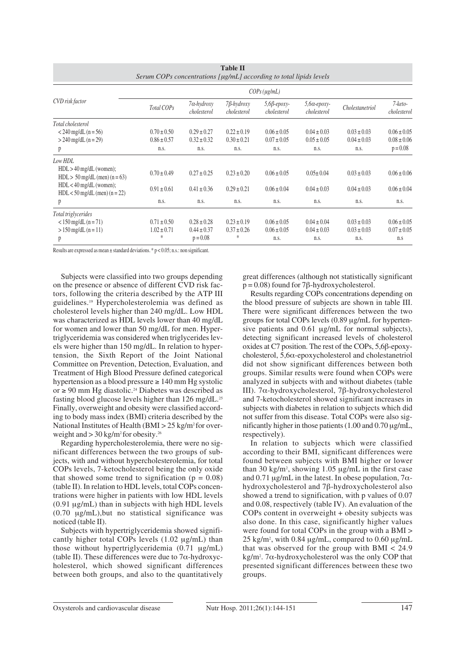| Serum COPs concentrations [µg/mL] according to total lipids levels |                      |                                   |                                  |                                   |                                    |                 |                        |  |  |
|--------------------------------------------------------------------|----------------------|-----------------------------------|----------------------------------|-----------------------------------|------------------------------------|-----------------|------------------------|--|--|
|                                                                    | $COPs$ ( $\mu$ g/mL) |                                   |                                  |                                   |                                    |                 |                        |  |  |
| CVD risk factor                                                    | Total COPs           | $7\alpha$ -hydroxy<br>cholesterol | $7\beta$ -hydroxy<br>cholesterol | $5,6\beta$ -epoxy-<br>cholesterol | $5,6\alpha$ -epoxy-<br>cholesterol | Cholestanetriol | 7-keto-<br>cholesterol |  |  |
| Total cholesterol                                                  |                      |                                   |                                  |                                   |                                    |                 |                        |  |  |
| $<$ 240 mg/dL (n = 56)                                             | $0.70 \pm 0.50$      | $0.29 \pm 0.27$                   | $0.22 \pm 0.19$                  | $0.06 \pm 0.05$                   | $0.04 \pm 0.03$                    | $0.03 \pm 0.03$ | $0.06 \pm 0.05$        |  |  |
| $> 240$ mg/dL (n = 29)                                             | $0.86 \pm 0.57$      | $0.32 \pm 0.32$                   | $0.30 \pm 0.21$                  | $0.07 \pm 0.05$                   | $0.05 \pm 0.05$                    | $0.04 \pm 0.03$ | $0.08 \pm 0.06$        |  |  |
| p                                                                  | n.s.                 | n.s.                              | n.s.                             | n.s.                              | n.s.                               | n.s.            | $p = 0.08$             |  |  |
| Low HDL                                                            |                      |                                   |                                  |                                   |                                    |                 |                        |  |  |
| $HDL > 40$ mg/dL (women);<br>$HDL > 50$ mg/dL (men) (n = 63)       | $0.70 \pm 0.49$      | $0.27 \pm 0.25$                   | $0.23 \pm 0.20$                  | $0.06 \pm 0.05$                   | $0.05 \pm 0.04$                    | $0.03 \pm 0.03$ | $0.06 \pm 0.06$        |  |  |
| $HDL < 40$ mg/dL (women);<br>$HDL < 50$ mg/dL (men) (n = 22)       | $0.91 \pm 0.61$      | $0.41 \pm 0.36$                   | $0.29 \pm 0.21$                  | $0.06 \pm 0.04$                   | $0.04 \pm 0.03$                    | $0.04 \pm 0.03$ | $0.06 \pm 0.04$        |  |  |
| p                                                                  | n.s.                 | n.s.                              | n.s.                             | n.s.                              | n.s.                               | n.s.            | n.s.                   |  |  |
| Total triglycerides                                                |                      |                                   |                                  |                                   |                                    |                 |                        |  |  |
| $< 150$ mg/dL (n = 71)                                             | $0.71 \pm 0.50$      | $0.28 \pm 0.28$                   | $0.23 \pm 0.19$                  | $0.06 \pm 0.05$                   | $0.04 \pm 0.04$                    | $0.03 \pm 0.03$ | $0.06 \pm 0.05$        |  |  |
| $> 150 \text{ mg/dL}$ (n = 11)                                     | $1.02 \pm 0.71$      | $0.44 \pm 0.37$                   | $0.37 \pm 0.26$                  | $0.06 \pm 0.05$                   | $0.04 \pm 0.03$                    | $0.03 \pm 0.03$ | $0.07 \pm 0.05$        |  |  |
| p                                                                  | *                    | $p = 0.08$                        | *                                | n.s.                              | n.s.                               | n.s.            | n.s                    |  |  |

| <b>Table II</b>                                                  |
|------------------------------------------------------------------|
| Serum COPs concentrations [µg/mL] according to total lipids leve |

Results are expressed as mean  $\pm$  standard deviations. \* p < 0.05; n.s.: non significant.

Subjects were classified into two groups depending on the presence or absence of different CVD risk factors, following the criteria described by the ATP III guidelines.19 Hypercholesterolemia was defined as cholesterol levels higher than 240 mg/dL. Low HDL was characterized as HDL levels lower than 40 mg/dL for women and lower than 50 mg/dL for men. Hypertriglyceridemia was considered when triglycerides levels were higher than 150 mg/dL. In relation to hypertension, the Sixth Report of the Joint National Committee on Prevention, Detection, Evaluation, and Treatment of High Blood Pressure defined categorical hypertension as a blood pressure  $\geq 140$  mm Hg systolic or ≥ 90 mm Hg diastolic.24 Diabetes was described as fasting blood glucose levels higher than 126 mg/dL.25 Finally, overweight and obesity were classified according to body mass index (BMI) criteria described by the National Institutes of Health (BMI  $> 25$  kg/m<sup>2</sup> for overweight and  $>$  30 kg/m<sup>2</sup> for obesity.<sup>26</sup>

Regarding hypercholesterolemia, there were no significant differences between the two groups of subjects, with and without hypercholesterolemia, for total COPs levels, 7-ketocholesterol being the only oxide that showed some trend to signification ( $p = 0.08$ ) (table II). In relation to HDL levels, total COPs concentrations were higher in patients with low HDL levels (0.91 μg/mL) than in subjects with high HDL levels (0.70 μg/mL),but no statistical significance was noticed (table II).

Subjects with hypertriglyceridemia showed significantly higher total COPs levels (1.02 μg/mL) than those without hypertriglyceridemia (0.71 μg/mL) (table II). These differences were due to 7α-hydroxycholesterol, which showed significant differences between both groups, and also to the quantitatively great differences (although not statistically significant  $p = 0.08$ ) found for 7 $\beta$ -hydroxycholesterol.

Results regarding COPs concentrations depending on the blood pressure of subjects are shown in table III. There were significant differences between the two groups for total COPs levels (0.89 μg/mL for hypertensive patients and 0.61 μg/mL for normal subjects), detecting significant increased levels of cholesterol oxides at C7 position. The rest of the COPs, 5,6β-epoxycholesterol, 5,6α-epoxycholesterol and cholestanetriol did not show significant differences between both groups. Similar results were found when COPs were analyzed in subjects with and without diabetes (table III). 7α-hydroxycholesterol, 7β-hydroxycholesterol and 7-ketocholesterol showed significant increases in subjects with diabetes in relation to subjects which did not suffer from this disease. Total COPs were also significantly higher in those patients (1.00 and 0.70 μg/mL, respectively).

In relation to subjects which were classified according to their BMI, significant differences were found between subjects with BMI higher or lower than 30 kg/m2 , showing 1.05 μg/mL in the first case and 0.71  $\mu$ g/mL in the latest. In obese population, 7 $\alpha$ hydroxycholesterol and 7β-hydroxycholesterol also showed a trend to signification, with p values of 0.07 and 0.08, respectively (table IV). An evaluation of the COPs content in overweight + obesity subjects was also done. In this case, significantly higher values were found for total COPs in the group with a BMI > 25 kg/m2 , with 0.84 μg/mL, compared to 0.60 μg/mL that was observed for the group with BMI < 24.9 kg/m2 . 7α-hydroxycholesterol was the only COP that presented significant differences between these two groups.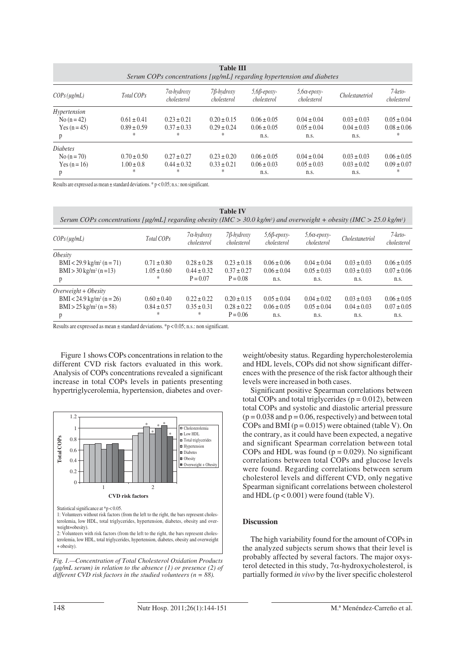| <b>Table III</b><br>Serum COPs concentrations $\lceil \mu g/mL \rceil$ regarding hypertension and diabetes |                                         |                                         |                                         |                                            |                                            |                                            |                                         |  |
|------------------------------------------------------------------------------------------------------------|-----------------------------------------|-----------------------------------------|-----------------------------------------|--------------------------------------------|--------------------------------------------|--------------------------------------------|-----------------------------------------|--|
| $COPs$ ( $\mu$ g/mL)                                                                                       | Total COPs                              | $7\alpha$ -hydroxy<br>cholesterol       | $7\beta$ -hydroxy<br>cholesterol        | $5,6\beta$ -epoxy-<br>cholesterol          | $5,6\alpha$ -epoxy-<br>cholesterol         | <i>Cholestanetriol</i>                     | 7-keto-<br>cholesterol                  |  |
| Hypertension<br>$No(n=42)$<br>Yes $(n = 45)$<br>p                                                          | $0.61 \pm 0.41$<br>$0.89 \pm 0.59$<br>* | $0.23 \pm 0.21$<br>$0.37 \pm 0.33$<br>* | $0.20 \pm 0.15$<br>$0.29 \pm 0.24$<br>* | $0.06 \pm 0.05$<br>$0.06 \pm 0.05$<br>n.s. | $0.04 \pm 0.04$<br>$0.05 \pm 0.04$<br>n.s. | $0.03 \pm 0.03$<br>$0.04 \pm 0.03$<br>n.s. | $0.05 \pm 0.04$<br>$0.08 \pm 0.06$<br>* |  |
| <i>Diabetes</i><br>No $(n = 70)$<br>Yes $(n = 16)$<br>p                                                    | $0.70 \pm 0.50$<br>$1.00 \pm 0.8$<br>*  | $0.27 \pm 0.27$<br>$0.44 \pm 0.32$<br>* | $0.23 \pm 0.20$<br>$0.33 \pm 0.21$<br>* | $0.06 \pm 0.05$<br>$0.06 \pm 0.03$<br>n.s. | $0.04 \pm 0.04$<br>$0.05 \pm 0.03$<br>n.s. | $0.03 \pm 0.03$<br>$0.03 \pm 0.02$<br>n.s. | $0.06 \pm 0.05$<br>$0.09 \pm 0.07$<br>* |  |

Results are expressed as mean  $\pm$  standard deviations. \* p < 0.05; n.s.: non significant.

| <b>Table IV</b><br>Serum COPs concentrations [µg/mL] regarding obesity (IMC > 30.0 kg/m <sup>2</sup> ) and overweight + obesity (IMC > 25.0 kg/m <sup>2</sup> ) |                 |                                   |                                  |                                   |                               |                        |                        |  |  |
|-----------------------------------------------------------------------------------------------------------------------------------------------------------------|-----------------|-----------------------------------|----------------------------------|-----------------------------------|-------------------------------|------------------------|------------------------|--|--|
| $COPs$ (ug/mL)                                                                                                                                                  | Total COPs      | $7\alpha$ -hydroxy<br>cholesterol | $7\beta$ -hydroxy<br>cholesterol | $5,6\beta$ -epoxy-<br>cholesterol | $5,6a$ -epoxy-<br>cholesterol | <i>Cholestanetriol</i> | 7-keto-<br>cholesterol |  |  |
| <i><b>Obesity</b></i>                                                                                                                                           |                 |                                   |                                  |                                   |                               |                        |                        |  |  |
| BMI < 29.9 kg/m <sup>2</sup> (n = 71)                                                                                                                           | $0.71 \pm 0.80$ | $0.28 \pm 0.28$                   | $0.23 \pm 0.18$                  | $0.06 \pm 0.06$                   | $0.04 \pm 0.04$               | $0.03 \pm 0.03$        | $0.06 \pm 0.05$        |  |  |
| $BMI > 30 \text{ kg/m}^2 (n=13)$                                                                                                                                | $1.05 \pm 0.60$ | $0.44 \pm 0.32$                   | $0.37 \pm 0.27$                  | $0.06 \pm 0.04$                   | $0.05 \pm 0.03$               | $0.03 \pm 0.03$        | $0.07 \pm 0.06$        |  |  |
| p                                                                                                                                                               | *               | $P = 0.07$                        | $P = 0.08$                       | n.s.                              | n.s.                          | n.s.                   | n.s.                   |  |  |
| $Overweight + Obesity$                                                                                                                                          |                 |                                   |                                  |                                   |                               |                        |                        |  |  |
| BMI < 24.9 kg/m <sup>2</sup> (n = 26)                                                                                                                           | $0.60 \pm 0.40$ | $0.22 \pm 0.22$                   | $0.20 \pm 0.15$                  | $0.05 \pm 0.04$                   | $0.04 \pm 0.02$               | $0.03 \pm 0.03$        | $0.06 \pm 0.05$        |  |  |
| $BMI > 25 \text{ kg/m}^2 (n = 58)$                                                                                                                              | $0.84 \pm 0.57$ | $0.35 \pm 0.31$                   | $0.28 \pm 0.22$                  | $0.06 \pm 0.05$                   | $0.05 \pm 0.04$               | $0.04 \pm 0.03$        | $0.07 \pm 0.05$        |  |  |
| р                                                                                                                                                               | *               | *                                 | $P = 0.06$                       | n.s.                              | n.s.                          | n.s.                   | n.s.                   |  |  |

Results are expressed as mean  $\pm$  standard deviations. \*p < 0.05; n.s.: non significant.

Figure 1 shows COPs concentrations in relation to the different CVD risk factors evaluated in this work. Analysis of COPs concentrations revealed a significant increase in total COPs levels in patients presenting hypertriglycerolemia, hypertension, diabetes and over-



*Fig. 1.—Concentration of Total Cholesterol Oxidation Products (μg/mL serum) in relation to the absence (1) or presence (2) of different CVD risk factors in the studied volunteers (n = 88).*

weight/obesity status. Regarding hypercholesterolemia and HDL levels, COPs did not show significant differences with the presence of the risk factor although their levels were increased in both cases.

Significant positive Spearman correlations between total COPs and total triglycerides ( $p = 0.012$ ), between total COPs and systolic and diastolic arterial pressure  $(p = 0.038$  and  $p = 0.06$ , respectively) and between total COPs and BMI ( $p = 0.015$ ) were obtained (table V). On the contrary, as it could have been expected, a negative and significant Spearman correlation between total COPs and HDL was found ( $p = 0.029$ ). No significant correlations between total COPs and glucose levels were found. Regarding correlations between serum cholesterol levels and different CVD, only negative Spearman significant correlations between cholesterol and HDL  $(p < 0.001)$  were found (table V).

#### **Discussion**

The high variability found for the amount of COPs in the analyzed subjects serum shows that their level is probably affected by several factors. The major oxysterol detected in this study,  $7\alpha$ -hydroxycholesterol, is partially formed *in vivo* by the liver specific cholesterol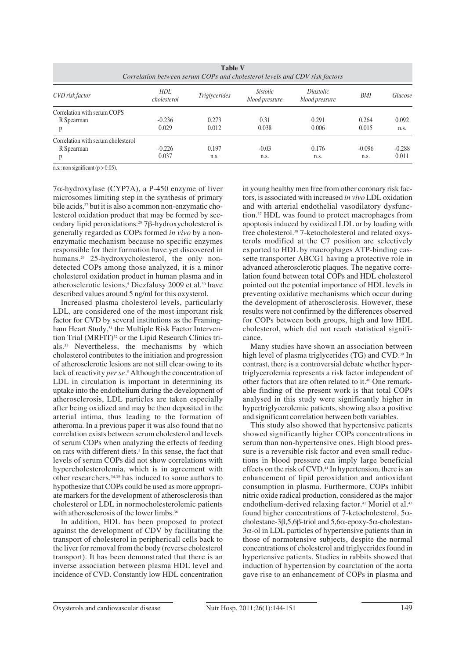| <b>Table V</b><br>Correlation between serum COPs and cholesterol levels and CDV risk factors |                           |                      |                                   |                             |          |          |  |  |  |
|----------------------------------------------------------------------------------------------|---------------------------|----------------------|-----------------------------------|-----------------------------|----------|----------|--|--|--|
| CVD risk factor                                                                              | <b>HDL</b><br>cholesterol | <i>Triglycerides</i> | <i>Sistolic</i><br>blood pressure | Diastolic<br>blood pressure | BMI      | Glucose  |  |  |  |
| Correlation with serum COPS                                                                  |                           |                      |                                   |                             |          |          |  |  |  |
| R Spearman                                                                                   | $-0.236$                  | 0.273                | 0.31                              | 0.291                       | 0.264    | 0.092    |  |  |  |
|                                                                                              | 0.029                     | 0.012                | 0.038                             | 0.006                       | 0.015    | n.s.     |  |  |  |
| Correlation with serum cholesterol                                                           |                           |                      |                                   |                             |          |          |  |  |  |
| R Spearman                                                                                   | $-0.226$                  | 0.197                | $-0.03$                           | 0.176                       | $-0.096$ | $-0.288$ |  |  |  |
|                                                                                              | 0.037                     | n.s.                 | n.s.                              | n.s.                        | n.s.     | 0.011    |  |  |  |

n.s.: non significant ( $p > 0.05$ ).

7α-hydroxylase (CYP7A), a P-450 enzyme of liver microsomes limiting step in the synthesis of primary bile acids,<sup>27</sup> but it is also a common non-enzymatic cholesterol oxidation product that may be formed by secondary lipid peroxidations.28 7β-hydroxycholesterol is generally regarded as COPs formed *in vivo* by a nonenzymatic mechanism because no specific enzymes responsible for their formation have yet discovered in humans.<sup>29</sup> 25-hydroxycholesterol, the only nondetected COPs among those analyzed, it is a minor cholesterol oxidation product in human plasma and in atherosclerotic lesions,<sup>5</sup> Diczfalusy 2009 et al.<sup>30</sup> have described values around 5 ng/ml for this oxysterol.

Increased plasma cholesterol levels, particularly LDL, are considered one of the most important risk factor for CVD by several institutions as the Framingham Heart Study,<sup>31</sup> the Multiple Risk Factor Intervention Trial (MRFIT)<sup>32</sup> or the Lipid Research Clinics trials.33 Nevertheless, the mechanisms by which cholesterol contributes to the initiation and progression of atherosclerotic lesions are not still clear owing to its lack of reactivity *per se.*<sup>8</sup> Although the concentration of LDL in circulation is important in determining its uptake into the endothelium during the development of atherosclerosis, LDL particles are taken especially after being oxidized and may be then deposited in the arterial intima, thus leading to the formation of atheroma. In a previous paper it was also found that no correlation exists between serum cholesterol and levels of serum COPs when analyzing the effects of feeding on rats with different diets.3 In this sense, the fact that levels of serum COPs did not show correlations with hypercholesterolemia, which is in agreement with other researchers,34,35 has induced to some authors to hypothesize that COPs could be used as more appropriate markers for the development of atherosclerosis than cholesterol or LDL in normocholesterolemic patients with atherosclerosis of the lower limbs.<sup>36</sup>

In addition, HDL has been proposed to protect against the development of CDV by facilitating the transport of cholesterol in periphericall cells back to the liver for removal from the body (reverse cholesterol transport). It has been demonstrated that there is an inverse association between plasma HDL level and incidence of CVD. Constantly low HDL concentration in young healthy men free from other coronary risk factors, is associated with increased *in vivo* LDL oxidation and with arterial endothelial vasodilatory dysfunction.37 HDL was found to protect macrophages from apoptosis induced by oxidized LDL or by loading with free cholesterol.38 7-ketocholesterol and related oxysterols modified at the C7 position are selectively exported to HDL by macrophages ATP-binding cassette transporter ABCG1 having a protective role in advanced atherosclerotic plaques. The negative correlation found between total COPs and HDL cholesterol pointed out the potential importance of HDL levels in preventing oxidative mechanisms which occur during the development of atherosclerosis. However, these results were not confirmed by the differences observed for COPs between both groups, high and low HDL cholesterol, which did not reach statistical significance.

Many studies have shown an association between high level of plasma triglycerides (TG) and CVD.<sup>39</sup> In contrast, there is a controversial debate whether hypertriglycerolemia represents a risk factor independent of other factors that are often related to it.40 One remarkable finding of the present work is that total COPs analysed in this study were significantly higher in hypertriglycerolemic patients, showing also a positive and significant correlation between both variables.

This study also showed that hypertensive patients showed significantly higher COPs concentrations in serum than non-hypertensive ones. High blood pressure is a reversible risk factor and even small reductions in blood pressure can imply large beneficial effects on the risk of CVD.<sup>41</sup> In hypertension, there is an enhancement of lipid peroxidation and antioxidant consumption in plasma. Furthermore, COPs inhibit nitric oxide radical production, considered as the major endothelium-derived relaxing factor.<sup>42</sup> Moriel et al.<sup>43</sup> found higher concentrations of 7-ketocholesterol,  $5\alpha$ cholestane-3β,5,6β-triol and 5,6α-epoxy-5α-cholestan- $3\alpha$ -ol in LDL particles of hypertensive patients than in those of normotensive subjects, despite the normal concentrations of cholesterol and triglycerides found in hypertensive patients. Studies in rabbits showed that induction of hypertension by coarctation of the aorta gave rise to an enhancement of COPs in plasma and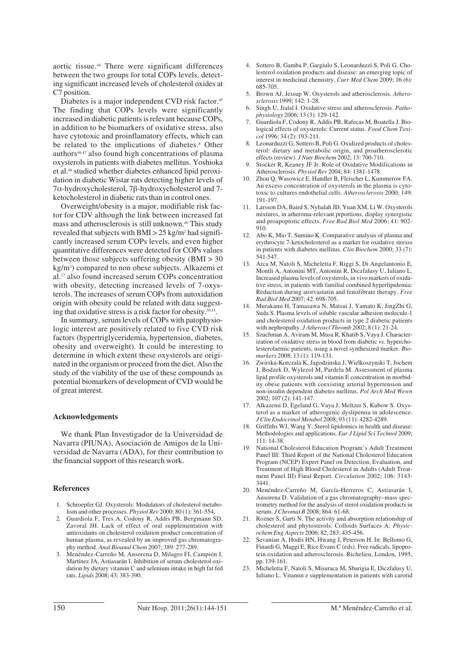aortic tissue.44 There were significant differences between the two groups for total COPs levels, detecting significant increased levels of cholesterol oxides at C7 position.

Diabetes is a major independent CVD risk factor.<sup>45</sup> The finding that COPs levels were significantly increased in diabetic patients is relevant because COPs, in addition to be biomarkers of oxidative stress, also have cytotoxic and proinflamatory effects, which can be related to the implications of diabetes.<sup>8</sup> Other authors46,47 also found high concentrations of plasma oxysterols in patients with diabetes mellitus. Yoshioka et al.48 studied whether diabetes enhanced lipid peroxidation in diabetic Wistar rats detecting higher levels of 7α-hydroxycholesterol, 7β-hydroxycholesterol and 7 ketocholesterol in diabetic rats than in control ones.

Overweight/obesity is a major, modifiable risk factor for CDV although the link between increased fat mass and atherosclerosis is still unknown.<sup>49</sup> This study revealed that subjects with BMI  $>$  25 kg/m<sup>2</sup> had significantly increased serum COPs levels, and even higher quantitative differences were detected for COPs values between those subjects suffering obesity (BMI > 30 kg/m2 ) compared to non obese subjects. Alkazemi et al.17 also found increased serum COPs concentration with obesity, detecting increased levels of 7-oxysterols. The increases of serum COPs from autoxidation origin with obesity could be related with data suggesting that oxidative stress is a risk factor for obesity.50,51.

In summary, serum levels of COPs with patophysiologic interest are positively related to five CVD risk factors (hypertriglyceridemia, hypertension, diabetes, obesity and overweight). It could be interesting to determine in which extent these oxysterols are originated in the organism or proceed from the diet. Also the study of the viability of the use of these compounds as potential biomarkers of development of CVD would be of great interest.

### **Acknowledgements**

We thank Plan Investigador de la Universidad de Navarra (PIUNA), Asociación de Amigos de la Universidad de Navarra (ADA), for their contribution to the financial support of this research work.

#### **References**

- 1. Schroepfer GJ. Oxysterols: Modulators of cholesterol metabolism and other processes. *Physiol Rev* 2000; 80 (1): 361-554.
- 2. Guardiola F, Tres A, Codony R, Addis PB, Bergmann SD, Zavoral JH. Lack of effect of oral supplementation with antioxidants on cholesterol oxidation product concentration of human plasma, as revealed by an improved gas chromatography method. *Anal Bioanal Chem* 2007; 389: 277-289.
- 3. Menéndez-Carreño M, Ansorena D, Milagro FI, Campión J, Martínez JA, Astiasarán I. Inhibition of serum cholesterol oxidation by dietary vitamin C and selenium intake in high fat fed rats. *Lipids* 2008; 43: 383-390.
- 4. Sottero B, Gamba P, Gargiulo S, Leonarduzzi S, Poli G. Cholesterol oxidation products and disease: an emerging topic of interest in medicinal chemistry. *Curr Med Chem* 2009; 16 (6): 685-705.
- 5. Brown AJ, Jessup W. Oxysterols and atherosclerosis. *Atherosclerosis* 1999; 142: 1-28.
- 6. Singh U, Jialal I. Oxidative stress and atherosclerosis. *Pathophysiology* 2006; 13 (3): 129-142.
- 7. Guardiola F, Codony R, Addis PB, Rafecas M, Boatella J. Biological effects of oxysterols: Current status. *Food Chem Toxicol* 1996; 34 (2): 193-211.
- 8. Leonarduzzi G, Sottero B, Poli G. Oxidized products of cholesterol: dietary and metabolic origin, and proatherosclerotic effects (review). *J Nutr Biochem* 2002; 13: 700-710.
- 9. Stocker R, Keaney JF Jr. Role of Oxidative Modifications in Atherosclerosis. *Physiol Rev* 2004; 84: 1381-1478.
- 10. Zhou Q, Wasowicz E, Handler B, Fleischer L, Kummerow FA. An excess concentration of oxysterols in the plasma is cytotoxic to cultures endothelial cells. *Atherosclerosis* 2000; 149: 191-197.
- 11. Larsson DA, Baird S, Nyhalah JD, Yuan XM, Li W. Oxysterols mixtures, in atheroma-relevant prportions, display synergistic and proapoptotic effects. *Free Rad Biol Med* 2006; 41: 902- 910.
- 12. Abo K, Mio T, Sumino K. Comparative analysis of plasma and erythrocyte 7-ketocholesterol as a marker for oxidative stresss in patients with diabetes mellitus. *Clin Biochem* 2000; 33 (7): 541-547.
- 13. Arca M, Natoli S, Micheletta F, Riggi S, Di Angelantonio E, Montli A, Antonini MT, Antonini R, Diczfalusy U, Iuliano L. Increased plasma levels of oxysterols, in vivo markers of oxidative stress, in patients with familial combined hyperlipidemia: Reduction during atorvastatin and fenofibrate therapy. *Free Rad Biol Med* 2007; 42: 698-705.
- 14. Murakami H, Tamasawa N, Matsui J, Yamato K, JingZhi G, Suda S. Plasma levels of soluble vascular adhesion molecule-1 and cholesterol oxidation products in type 2 diabetic patients with nephropathy. *J Atheroscl Thromb* 2002; 8 (1): 21-24.
- 15. Szuchman A, Aviram M, Musa R, Khatib S, Vaya J. Characterization of oxidative stress in blood from diabetic *vs.* hypercholesterolaemic patients, using a novel synthesized marker. *Biomarkers* 2008; 13 (1): 119-131.
- 16. Zwirska-Korczala K, Jagodzinska J, Wielkoszynski T, Jochem J, Bodzek D, Wylezol M, Pardela M. Assessment of plasma lipid profile oxysterols and vitamin E concentration in morbidity obese patients with coexisting arterial hypertension and non-insulin dependent diabetes mellitus. *Pol Arch Med Wewn* 2002; 107 (2): 141-147.
- 17. Alkazemi D, Egeland G, Vaya J, Meltzer S, Kubow S. Oxysterol as a marker of atherogenic dyslipemia in adolescence. *J Clin Endocrinol Metabol* 2008; 93 (11): 4282-4289.
- 18. Griffiths WJ, Wang Y. Sterol lipidomics in health and disease: Methodologies and applications. *Eur J Lipid Sci Technol* 2009; 111: 14-38.
- 19. National Cholesterol Education Program's Adult Treatment Panel III: Third Report of the National Cholesterol Education Program (NCEP) Expert Panel on Detection, Evaluation, and Treatment of High Blood Cholesterol in Adults (Adult Treatment Panel III) Final Report. *Circulation* 2002; 106: 3143- 3441.
- 20. Menéndez-Carreño M, García-Herreros C, Astiasarán I, Ansorena D. Validation of a gas chromatography–mass spectrometry method for the analysis of sterol oxidation products in serum. *J Chromat B* 2008; 864: 61-68.
- 21. Rozner S, Garti N. The activity and absorption relationship of cholesterol and phytosterols. Colloids Surfaces A: *Physicochem Eng Aspects* 2006; 82, 283: 435-456.
- Sevanian A, Hodis HN, Hwang J, Peterson H. In: Bellomo G, Finardi G, Maggi E, Rice Evans C (eds). Free radicals, lipoprotein oxidation and atherosclerosis. Richelieu, London, 1995, pp. 139-161.
- 23. Micheletta F, Natoli S, Misuraca M, Sbarigia E, Diczfalusy U, Iuliano L. Vitamin e supplementation in patients with carotid